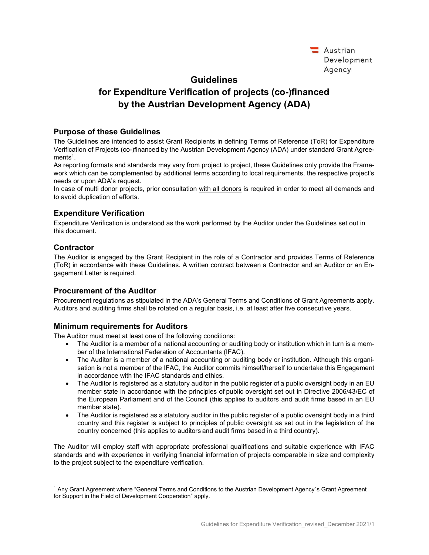| Austrian    |
|-------------|
| Development |
| Agency      |

# Guidelines

# for Expenditure Verification of projects (co-)financed by the Austrian Development Agency (ADA)

#### Purpose of these Guidelines

The Guidelines are intended to assist Grant Recipients in defining Terms of Reference (ToR) for Expenditure Verification of Projects (co-)financed by the Austrian Development Agency (ADA) under standard Grant Agreements<sup>1</sup> .

As reporting formats and standards may vary from project to project, these Guidelines only provide the Framework which can be complemented by additional terms according to local requirements, the respective project's needs or upon ADA's request.

In case of multi donor projects, prior consultation with all donors is required in order to meet all demands and to avoid duplication of efforts.

# Expenditure Verification

Expenditure Verification is understood as the work performed by the Auditor under the Guidelines set out in this document.

# **Contractor**

The Auditor is engaged by the Grant Recipient in the role of a Contractor and provides Terms of Reference (ToR) in accordance with these Guidelines. A written contract between a Contractor and an Auditor or an Engagement Letter is required.

# Procurement of the Auditor

Procurement regulations as stipulated in the ADA's General Terms and Conditions of Grant Agreements apply. Auditors and auditing firms shall be rotated on a regular basis, i.e. at least after five consecutive years.

# Minimum requirements for Auditors

The Auditor must meet at least one of the following conditions:

- The Auditor is a member of a national accounting or auditing body or institution which in turn is a member of the International Federation of Accountants (IFAC).
- The Auditor is a member of a national accounting or auditing body or institution. Although this organisation is not a member of the IFAC, the Auditor commits himself/herself to undertake this Engagement in accordance with the IFAC standards and ethics.
- The Auditor is registered as a statutory auditor in the public register of a public oversight body in an EU member state in accordance with the principles of public oversight set out in Directive 2006/43/EC of the European Parliament and of the Council (this applies to auditors and audit firms based in an EU member state).
- The Auditor is registered as a statutory auditor in the public register of a public oversight body in a third country and this register is subject to principles of public oversight as set out in the legislation of the country concerned (this applies to auditors and audit firms based in a third country).

The Auditor will employ staff with appropriate professional qualifications and suitable experience with IFAC standards and with experience in verifying financial information of projects comparable in size and complexity to the project subject to the expenditure verification.

<sup>1</sup> Any Grant Agreement where "General Terms and Conditions to the Austrian Development Agency´s Grant Agreement for Support in the Field of Development Cooperation" apply.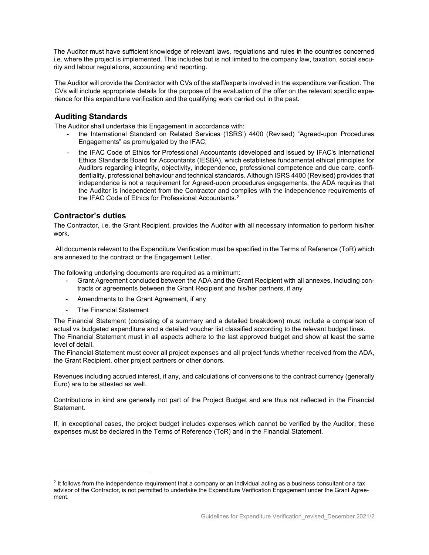The Auditor must have sufficient knowledge of relevant laws, regulations and rules in the countries concerned i.e. where the project is implemented. This includes but is not limited to the company law, taxation, social security and labour regulations, accounting and reporting.

The Auditor will provide the Contractor with CVs of the staff/experts involved in the expenditure verification. The CVs will include appropriate details for the purpose of the evaluation of the offer on the relevant specific experience for this expenditure verification and the qualifying work carried out in the past.

#### Auditing Standards

The Auditor shall undertake this Engagement in accordance with:

- the International Standard on Related Services ('ISRS') 4400 (Revised) "Agreed-upon Procedures Engagements" as promulgated by the IFAC;
- the IFAC Code of Ethics for Professional Accountants (developed and issued by IFAC's International Ethics Standards Board for Accountants (IESBA), which establishes fundamental ethical principles for Auditors regarding integrity, objectivity, independence, professional competence and due care, confidentiality, professional behaviour and technical standards. Although ISRS 4400 (Revised) provides that independence is not a requirement for Agreed-upon procedures engagements, the ADA requires that the Auditor is independent from the Contractor and complies with the independence requirements of the IFAC Code of Ethics for Professional Accountants.<sup>2</sup>

#### Contractor's duties

The Contractor, i.e. the Grant Recipient, provides the Auditor with all necessary information to perform his/her work.

 All documents relevant to the Expenditure Verification must be specified in the Terms of Reference (ToR) which are annexed to the contract or the Engagement Letter.

The following underlying documents are required as a minimum:

- Grant Agreement concluded between the ADA and the Grant Recipient with all annexes, including contracts or agreements between the Grant Recipient and his/her partners, if any
- Amendments to the Grant Agreement, if any
- The Financial Statement

The Financial Statement (consisting of a summary and a detailed breakdown) must include a comparison of actual vs budgeted expenditure and a detailed voucher list classified according to the relevant budget lines. The Financial Statement must in all aspects adhere to the last approved budget and show at least the same level of detail.

The Financial Statement must cover all project expenses and all project funds whether received from the ADA, the Grant Recipient, other project partners or other donors.

Revenues including accrued interest, if any, and calculations of conversions to the contract currency (generally Euro) are to be attested as well.

Contributions in kind are generally not part of the Project Budget and are thus not reflected in the Financial Statement.

If, in exceptional cases, the project budget includes expenses which cannot be verified by the Auditor, these expenses must be declared in the Terms of Reference (ToR) and in the Financial Statement.

<sup>2</sup> It follows from the independence requirement that a company or an individual acting as a business consultant or a tax advisor of the Contractor, is not permitted to undertake the Expenditure Verification Engagement under the Grant Agreement.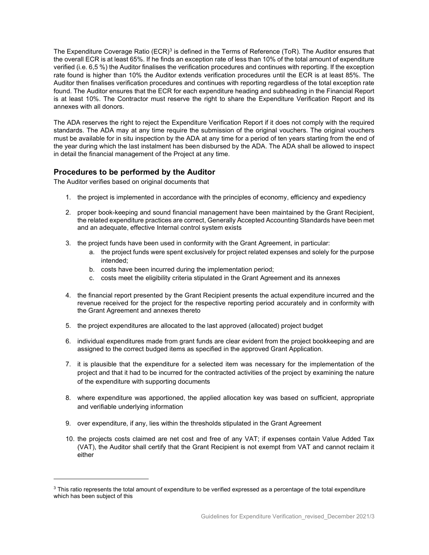The Expenditure Coverage Ratio (ECR) $^3$  is defined in the Terms of Reference (ToR). The Auditor ensures that the overall ECR is at least 65%. If he finds an exception rate of less than 10% of the total amount of expenditure verified (i.e. 6,5 %) the Auditor finalises the verification procedures and continues with reporting. If the exception rate found is higher than 10% the Auditor extends verification procedures until the ECR is at least 85%. The Auditor then finalises verification procedures and continues with reporting regardless of the total exception rate found. The Auditor ensures that the ECR for each expenditure heading and subheading in the Financial Report is at least 10%. The Contractor must reserve the right to share the Expenditure Verification Report and its annexes with all donors.

The ADA reserves the right to reject the Expenditure Verification Report if it does not comply with the required standards. The ADA may at any time require the submission of the original vouchers. The original vouchers must be available for in situ inspection by the ADA at any time for a period of ten years starting from the end of the year during which the last instalment has been disbursed by the ADA. The ADA shall be allowed to inspect in detail the financial management of the Project at any time.

# Procedures to be performed by the Auditor

The Auditor verifies based on original documents that

- 1. the project is implemented in accordance with the principles of economy, efficiency and expediency
- 2. proper book-keeping and sound financial management have been maintained by the Grant Recipient, the related expenditure practices are correct, Generally Accepted Accounting Standards have been met and an adequate, effective Internal control system exists
- 3. the project funds have been used in conformity with the Grant Agreement, in particular:
	- a. the project funds were spent exclusively for project related expenses and solely for the purpose intended;
	- b. costs have been incurred during the implementation period;
	- c. costs meet the eligibility criteria stipulated in the Grant Agreement and its annexes
- 4. the financial report presented by the Grant Recipient presents the actual expenditure incurred and the revenue received for the project for the respective reporting period accurately and in conformity with the Grant Agreement and annexes thereto
- 5. the project expenditures are allocated to the last approved (allocated) project budget
- 6. individual expenditures made from grant funds are clear evident from the project bookkeeping and are assigned to the correct budged items as specified in the approved Grant Application.
- 7. it is plausible that the expenditure for a selected item was necessary for the implementation of the project and that it had to be incurred for the contracted activities of the project by examining the nature of the expenditure with supporting documents
- 8. where expenditure was apportioned, the applied allocation key was based on sufficient, appropriate and verifiable underlying information
- 9. over expenditure, if any, lies within the thresholds stipulated in the Grant Agreement
- 10. the projects costs claimed are net cost and free of any VAT; if expenses contain Value Added Tax (VAT), the Auditor shall certify that the Grant Recipient is not exempt from VAT and cannot reclaim it either

 $^3$  This ratio represents the total amount of expenditure to be verified expressed as a percentage of the total expenditure which has been subject of this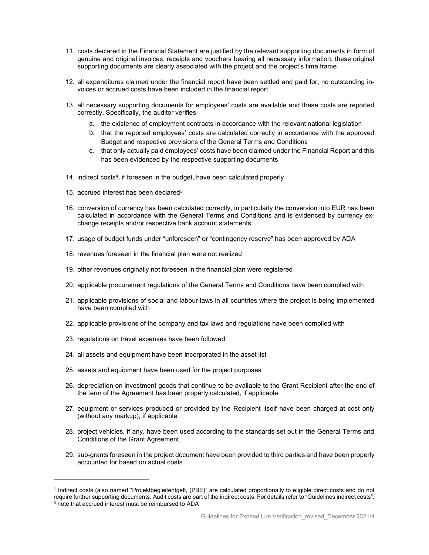- 11. costs declared in the Financial Statement are justified by the relevant supporting documents in form of genuine and original invoices, receipts and vouchers bearing all necessary information; these original supporting documents are clearly associated with the project and the project's time frame
- 12. all expenditures claimed under the financial report have been settled and paid for, no outstanding invoices or accrued costs have been included in the financial report
- 13. all necessary supporting documents for employees' costs are available and these costs are reported correctly. Specifically, the auditor verifies
	- a. the existence of employment contracts in accordance with the relevant national legislation
	- b. that the reported employees' costs are calculated correctly in accordance with the approved Budget and respective provisions of the General Terms and Conditions
	- c. that only actually paid employees' costs have been claimed under the Financial Report and this has been evidenced by the respective supporting documents
- 14. indirect costs<sup>4</sup>, if foreseen in the budget, have been calculated properly
- 15. accrued interest has been declared<sup>5</sup>
- 16. conversion of currency has been calculated correctly, in particularly the conversion into EUR has been calculated in accordance with the General Terms and Conditions and is evidenced by currency exchange receipts and/or respective bank account statements
- 17. usage of budget funds under "unforeseen" or "contingency reserve" has been approved by ADA
- 18. revenues foreseen in the financial plan were not realized
- 19. other revenues originally not foreseen in the financial plan were registered
- 20. applicable procurement regulations of the General Terms and Conditions have been complied with
- 21. applicable provisions of social and labour laws in all countries where the project is being implemented have been complied with
- 22. applicable provisions of the company and tax laws and regulations have been complied with
- 23. regulations on travel expenses have been followed
- 24. all assets and equipment have been incorporated in the asset list
- 25. assets and equipment have been used for the project purposes
- 26. depreciation on investment goods that continue to be available to the Grant Recipient after the end of the term of the Agreement has been properly calculated, if applicable
- 27. equipment or services produced or provided by the Recipient itself have been charged at cost only (without any markup), if applicable
- 28. project vehicles, if any, have been used according to the standards set out in the General Terms and Conditions of the Grant Agreement
- 29. sub-grants foreseen in the project document have been provided to third parties and have been properly accounted for based on actual costs

<sup>4</sup> Indirect costs (also named "Projektbegleitentgelt, (PBE)" are calculated proportionally to eligible direct costs and do not require further supporting documents. Audit costs are part of the indirect costs. For details refer to "Guidelines indirect costs". 5 note that accrued interest must be reimbursed to ADA